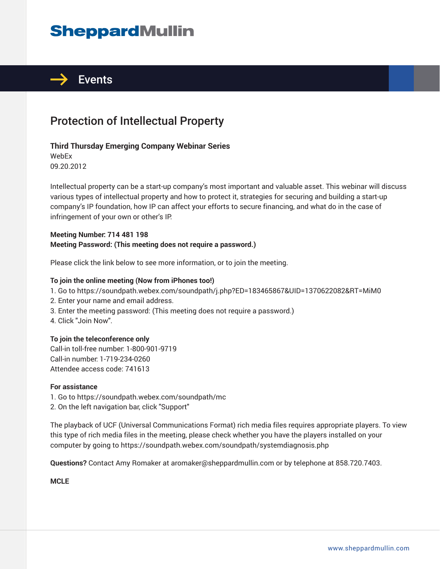# **SheppardMullin**



## Protection of Intellectual Property

#### **Third Thursday Emerging Company Webinar Series**

WebEx 09.20.2012

Intellectual property can be a start-up company's most important and valuable asset. This webinar will discuss various types of intellectual property and how to protect it, strategies for securing and building a start-up company's IP foundation, how IP can affect your efforts to secure financing, and what do in the case of infringement of your own or other's IP.

#### **Meeting Number: 714 481 198 Meeting Password: (This meeting does not require a password.)**

Please click the link below to see more information, or to join the meeting.

#### **To join the online meeting (Now from iPhones too!)**

- 1. Go to https://soundpath.webex.com/soundpath/j.php?ED=183465867&UID=1370622082&RT=MiM0
- 2. Enter your name and email address.
- 3. Enter the meeting password: (This meeting does not require a password.)
- 4. Click "Join Now".

#### **To join the teleconference only**

Call-in toll-free number: 1-800-901-9719 Call-in number: 1-719-234-0260 Attendee access code: 741613

#### **For assistance**

1. Go to https://soundpath.webex.com/soundpath/mc 2. On the left navigation bar, click "Support"

The playback of UCF (Universal Communications Format) rich media files requires appropriate players. To view this type of rich media files in the meeting, please check whether you have the players installed on your computer by going to https://soundpath.webex.com/soundpath/systemdiagnosis.php

**Questions?** Contact Amy Romaker at aromaker@sheppardmullin.com or by telephone at 858.720.7403.

**MCLE**